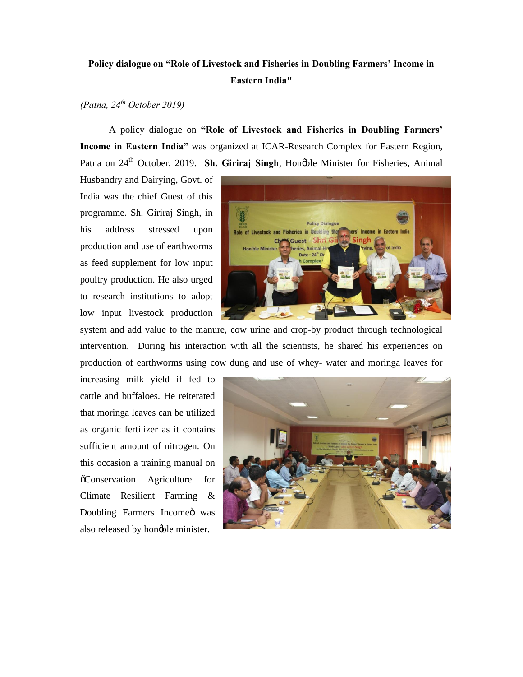## **Policy dialogue on "Role of Livestock and Fisheries in Doubling Farmers' Income in Eastern India"**

## *(Patna, 24th October 2019)*

A policy dialogue on **"Role of Livestock and Fisheries in Doubling Farmers' Income in Eastern India"** was organized at ICAR-Research Complex for Eastern Region, Patna on 24<sup>th</sup> October, 2019. **Sh. Giriraj Singh**, Honøble Minister for Fisheries, Animal

Husbandry and Dairying, Govt. of India was the chief Guest of this programme. Sh. Giriraj Singh, in his address stressed upon production and use of earthworms as feed supplement for low input poultry production. He also urged to research institutions to adopt low input livestock production



system and add value to the manure, cow urine and crop-by product through technological intervention. During his interaction with all the scientists, he shared his experiences on production of earthworms using cow dung and use of whey- water and moringa leaves for

increasing milk yield if fed to cattle and buffaloes. He reiterated that moringa leaves can be utilized as organic fertilizer as it contains sufficient amount of nitrogen. On this occasion a training manual on  $\tilde{\text{o}}$ Conservation Agriculture for Climate Resilient Farming & Doubling Farmers Incomeö was also released by honoble minister.